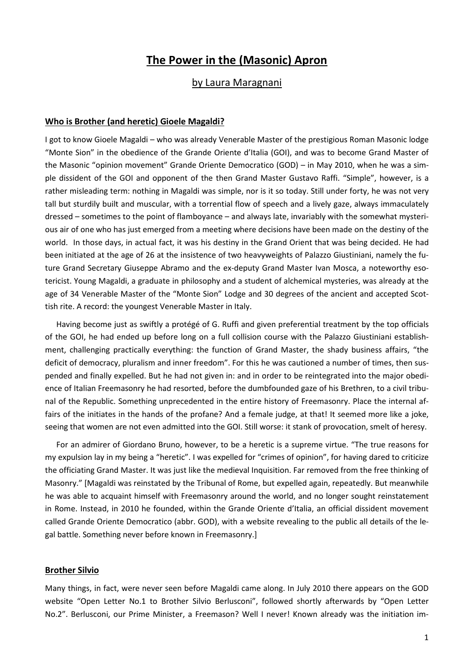# **The Power in the (Masonic) Apron**

# by Laura Maragnani

# **Who is Brother (and heretic) Gioele Magaldi?**

I got to know Gioele Magaldi – who was already Venerable Master of the prestigious Roman Masonic lodge "Monte Sion" in the obedience of the Grande Oriente d'Italia (GOI), and was to become Grand Master of the Masonic "opinion movement" Grande Oriente Democratico (GOD) – in May 2010, when he was a simple dissident of the GOI and opponent of the then Grand Master Gustavo Raffi. "Simple", however, is a rather misleading term: nothing in Magaldi was simple, nor is it so today. Still under forty, he was not very tall but sturdily built and muscular, with a torrential flow of speech and a lively gaze, always immaculately dressed – sometimes to the point of flamboyance – and always late, invariably with the somewhat mysterious air of one who has just emerged from a meeting where decisions have been made on the destiny of the world. In those days, in actual fact, it was his destiny in the Grand Orient that was being decided. He had been initiated at the age of 26 at the insistence of two heavyweights of Palazzo Giustiniani, namely the future Grand Secretary Giuseppe Abramo and the ex-deputy Grand Master Ivan Mosca, a noteworthy esotericist. Young Magaldi, a graduate in philosophy and a student of alchemical mysteries, was already at the age of 34 Venerable Master of the "Monte Sion" Lodge and 30 degrees of the ancient and accepted Scottish rite. A record: the youngest Venerable Master in Italy.

Having become just as swiftly a protégé of G. Ruffi and given preferential treatment by the top officials of the GOI, he had ended up before long on a full collision course with the Palazzo Giustiniani establishment, challenging practically everything: the function of Grand Master, the shady business affairs, "the deficit of democracy, pluralism and inner freedom". For this he was cautioned a number of times, then suspended and finally expelled. But he had not given in: and in order to be reintegrated into the major obedience of Italian Freemasonry he had resorted, before the dumbfounded gaze of his Brethren, to a civil tribunal of the Republic. Something unprecedented in the entire history of Freemasonry. Place the internal affairs of the initiates in the hands of the profane? And a female judge, at that! It seemed more like a joke, seeing that women are not even admitted into the GOI. Still worse: it stank of provocation, smelt of heresy.

For an admirer of Giordano Bruno, however, to be a heretic is a supreme virtue. "The true reasons for my expulsion lay in my being a "heretic". I was expelled for "crimes of opinion", for having dared to criticize the officiating Grand Master. It was just like the medieval Inquisition. Far removed from the free thinking of Masonry." [Magaldi was reinstated by the Tribunal of Rome, but expelled again, repeatedly. But meanwhile he was able to acquaint himself with Freemasonry around the world, and no longer sought reinstatement in Rome. Instead, in 2010 he founded, within the Grande Oriente d'Italia, an official dissident movement called Grande Oriente Democratico (abbr. GOD), with a website revealing to the public all details of the legal battle. Something never before known in Freemasonry.]

#### **Brother Silvio**

Many things, in fact, were never seen before Magaldi came along. In July 2010 there appears on the GOD website "Open Letter No.1 to Brother Silvio Berlusconi", followed shortly afterwards by "Open Letter No.2". Berlusconi, our Prime Minister, a Freemason? Well I never! Known already was the initiation im-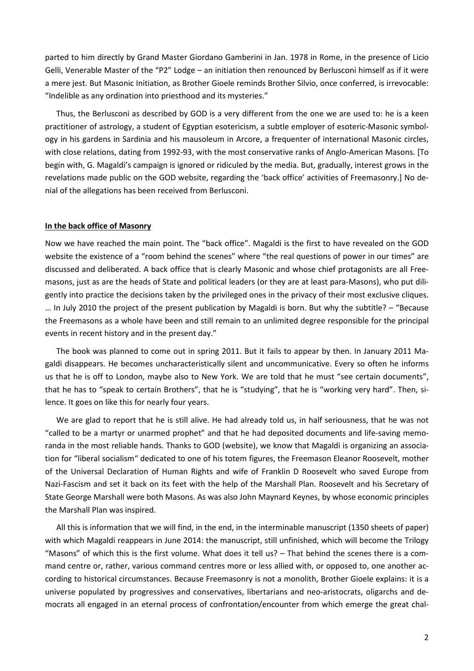parted to him directly by Grand Master Giordano Gamberini in Jan. 1978 in Rome, in the presence of Licio Gelli, Venerable Master of the "P2" Lodge – an initiation then renounced by Berlusconi himself as if it were a mere jest. But Masonic Initiation, as Brother Gioele reminds Brother Silvio, once conferred, is irrevocable: "Indelible as any ordination into priesthood and its mysteries."

Thus, the Berlusconi as described by GOD is a very different from the one we are used to: he is a keen practitioner of astrology, a student of Egyptian esotericism, a subtle employer of esoteric-Masonic symbology in his gardens in Sardinia and his mausoleum in Arcore, a frequenter of international Masonic circles, with close relations, dating from 1992-93, with the most conservative ranks of Anglo-American Masons. [To begin with, G. Magaldi's campaign is ignored or ridiculed by the media. But, gradually, interest grows in the revelations made public on the GOD website, regarding the 'back office' activities of Freemasonry.] No denial of the allegations has been received from Berlusconi.

#### **In the back office of Masonry**

Now we have reached the main point. The "back office". Magaldi is the first to have revealed on the GOD website the existence of a "room behind the scenes" where "the real questions of power in our times" are discussed and deliberated. A back office that is clearly Masonic and whose chief protagonists are all Freemasons, just as are the heads of State and political leaders (or they are at least para-Masons), who put diligently into practice the decisions taken by the privileged ones in the privacy of their most exclusive cliques. … In July 2010 the project of the present publication by Magaldi is born. But why the subtitle? – "Because the Freemasons as a whole have been and still remain to an unlimited degree responsible for the principal events in recent history and in the present day."

The book was planned to come out in spring 2011. But it fails to appear by then. In January 2011 Magaldi disappears. He becomes uncharacteristically silent and uncommunicative. Every so often he informs us that he is off to London, maybe also to New York. We are told that he must "see certain documents", that he has to "speak to certain Brothers", that he is "studying", that he is "working very hard". Then, silence. It goes on like this for nearly four years.

We are glad to report that he is still alive. He had already told us, in half seriousness, that he was not "called to be a martyr or unarmed prophet" and that he had deposited documents and life-saving memoranda in the most reliable hands. Thanks to GOD (website), we know that Magaldi is organizing an association for "liberal socialism" dedicated to one of his totem figures, the Freemason Eleanor Roosevelt, mother of the Universal Declaration of Human Rights and wife of Franklin D Roosevelt who saved Europe from Nazi-Fascism and set it back on its feet with the help of the Marshall Plan. Roosevelt and his Secretary of State George Marshall were both Masons. As was also John Maynard Keynes, by whose economic principles the Marshall Plan was inspired.

All this is information that we will find, in the end, in the interminable manuscript (1350 sheets of paper) with which Magaldi reappears in June 2014: the manuscript, still unfinished, which will become the Trilogy "Masons" of which this is the first volume. What does it tell us? – That behind the scenes there is a command centre or, rather, various command centres more or less allied with, or opposed to, one another according to historical circumstances. Because Freemasonry is not a monolith, Brother Gioele explains: it is a universe populated by progressives and conservatives, libertarians and neo-aristocrats, oligarchs and democrats all engaged in an eternal process of confrontation/encounter from which emerge the great chal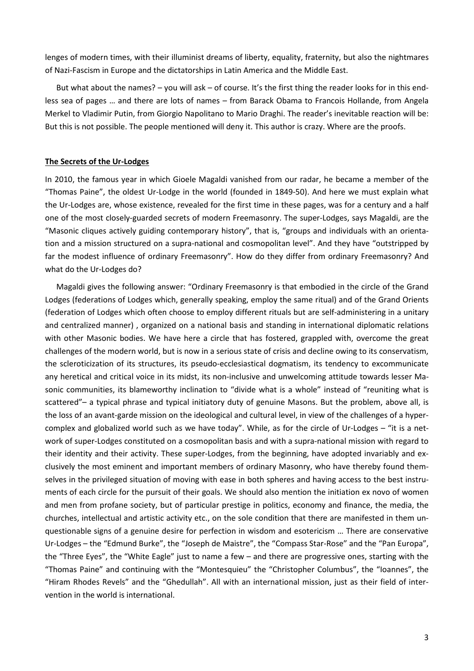lenges of modern times, with their illuminist dreams of liberty, equality, fraternity, but also the nightmares of Nazi-Fascism in Europe and the dictatorships in Latin America and the Middle East.

But what about the names? – you will ask – of course. It's the first thing the reader looks for in this endless sea of pages … and there are lots of names – from Barack Obama to Francois Hollande, from Angela Merkel to Vladimir Putin, from Giorgio Napolitano to Mario Draghi. The reader's inevitable reaction will be: But this is not possible. The people mentioned will deny it. This author is crazy. Where are the proofs.

#### **The Secrets of the Ur-Lodges**

In 2010, the famous year in which Gioele Magaldi vanished from our radar, he became a member of the "Thomas Paine", the oldest Ur-Lodge in the world (founded in 1849-50). And here we must explain what the Ur-Lodges are, whose existence, revealed for the first time in these pages, was for a century and a half one of the most closely-guarded secrets of modern Freemasonry. The super-Lodges, says Magaldi, are the "Masonic cliques actively guiding contemporary history", that is, "groups and individuals with an orientation and a mission structured on a supra-national and cosmopolitan level". And they have "outstripped by far the modest influence of ordinary Freemasonry". How do they differ from ordinary Freemasonry? And what do the Ur-Lodges do?

Magaldi gives the following answer: "Ordinary Freemasonry is that embodied in the circle of the Grand Lodges (federations of Lodges which, generally speaking, employ the same ritual) and of the Grand Orients (federation of Lodges which often choose to employ different rituals but are self-administering in a unitary and centralized manner) , organized on a national basis and standing in international diplomatic relations with other Masonic bodies. We have here a circle that has fostered, grappled with, overcome the great challenges of the modern world, but is now in a serious state of crisis and decline owing to its conservatism, the scleroticization of its structures, its pseudo-ecclesiastical dogmatism, its tendency to excommunicate any heretical and critical voice in its midst, its non-inclusive and unwelcoming attitude towards lesser Masonic communities, its blameworthy inclination to "divide what is a whole" instead of "reuniting what is scattered"– a typical phrase and typical initiatory duty of genuine Masons. But the problem, above all, is the loss of an avant-garde mission on the ideological and cultural level, in view of the challenges of a hypercomplex and globalized world such as we have today". While, as for the circle of Ur-Lodges – "it is a network of super-Lodges constituted on a cosmopolitan basis and with a supra-national mission with regard to their identity and their activity. These super-Lodges, from the beginning, have adopted invariably and exclusively the most eminent and important members of ordinary Masonry, who have thereby found themselves in the privileged situation of moving with ease in both spheres and having access to the best instruments of each circle for the pursuit of their goals. We should also mention the initiation ex novo of women and men from profane society, but of particular prestige in politics, economy and finance, the media, the churches, intellectual and artistic activity etc., on the sole condition that there are manifested in them unquestionable signs of a genuine desire for perfection in wisdom and esotericism … There are conservative Ur-Lodges – the "Edmund Burke", the "Joseph de Maistre", the "Compass Star-Rose" and the "Pan Europa", the "Three Eyes", the "White Eagle" just to name a few – and there are progressive ones, starting with the "Thomas Paine" and continuing with the "Montesquieu" the "Christopher Columbus", the "Ioannes", the "Hiram Rhodes Revels" and the "Ghedullah". All with an international mission, just as their field of intervention in the world is international.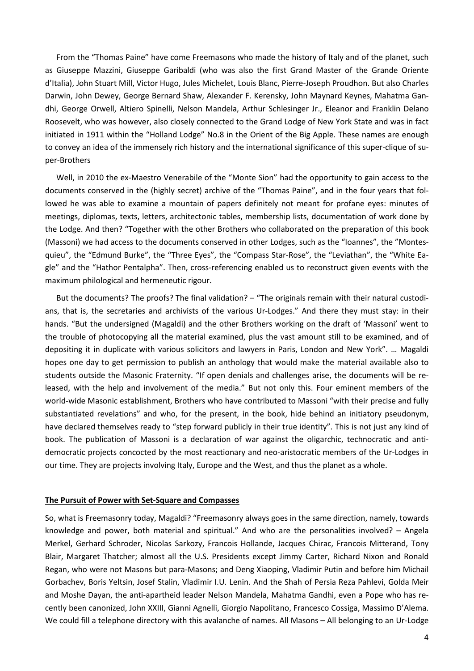From the "Thomas Paine" have come Freemasons who made the history of Italy and of the planet, such as Giuseppe Mazzini, Giuseppe Garibaldi (who was also the first Grand Master of the Grande Oriente d'Italia), John Stuart Mill, Victor Hugo, Jules Michelet, Louis Blanc, Pierre-Joseph Proudhon. But also Charles Darwin, John Dewey, George Bernard Shaw, Alexander F. Kerensky, John Maynard Keynes, Mahatma Gandhi, George Orwell, Altiero Spinelli, Nelson Mandela, Arthur Schlesinger Jr., Eleanor and Franklin Delano Roosevelt, who was however, also closely connected to the Grand Lodge of New York State and was in fact initiated in 1911 within the "Holland Lodge" No.8 in the Orient of the Big Apple. These names are enough to convey an idea of the immensely rich history and the international significance of this super-clique of super-Brothers

Well, in 2010 the ex-Maestro Venerabile of the "Monte Sion" had the opportunity to gain access to the documents conserved in the (highly secret) archive of the "Thomas Paine", and in the four years that followed he was able to examine a mountain of papers definitely not meant for profane eyes: minutes of meetings, diplomas, texts, letters, architectonic tables, membership lists, documentation of work done by the Lodge. And then? "Together with the other Brothers who collaborated on the preparation of this book (Massoni) we had access to the documents conserved in other Lodges, such as the "Ioannes", the "Montesquieu", the "Edmund Burke", the "Three Eyes", the "Compass Star-Rose", the "Leviathan", the "White Eagle" and the "Hathor Pentalpha". Then, cross-referencing enabled us to reconstruct given events with the maximum philological and hermeneutic rigour.

But the documents? The proofs? The final validation? – "The originals remain with their natural custodians, that is, the secretaries and archivists of the various Ur-Lodges." And there they must stay: in their hands. "But the undersigned (Magaldi) and the other Brothers working on the draft of 'Massoni' went to the trouble of photocopying all the material examined, plus the vast amount still to be examined, and of depositing it in duplicate with various solicitors and lawyers in Paris, London and New York". … Magaldi hopes one day to get permission to publish an anthology that would make the material available also to students outside the Masonic Fraternity. "If open denials and challenges arise, the documents will be released, with the help and involvement of the media." But not only this. Four eminent members of the world-wide Masonic establishment, Brothers who have contributed to Massoni "with their precise and fully substantiated revelations" and who, for the present, in the book, hide behind an initiatory pseudonym, have declared themselves ready to "step forward publicly in their true identity". This is not just any kind of book. The publication of Massoni is a declaration of war against the oligarchic, technocratic and antidemocratic projects concocted by the most reactionary and neo-aristocratic members of the Ur-Lodges in our time. They are projects involving Italy, Europe and the West, and thus the planet as a whole.

#### **The Pursuit of Power with Set-Square and Compasses**

So, what is Freemasonry today, Magaldi? "Freemasonry always goes in the same direction, namely, towards knowledge and power, both material and spiritual." And who are the personalities involved? – Angela Merkel, Gerhard Schroder, Nicolas Sarkozy, Francois Hollande, Jacques Chirac, Francois Mitterand, Tony Blair, Margaret Thatcher; almost all the U.S. Presidents except Jimmy Carter, Richard Nixon and Ronald Regan, who were not Masons but para-Masons; and Deng Xiaoping, Vladimir Putin and before him Michail Gorbachev, Boris Yeltsin, Josef Stalin, Vladimir I.U. Lenin. And the Shah of Persia Reza Pahlevi, Golda Meir and Moshe Dayan, the anti-apartheid leader Nelson Mandela, Mahatma Gandhi, even a Pope who has recently been canonized, John XXIII, Gianni Agnelli, Giorgio Napolitano, Francesco Cossiga, Massimo D'Alema. We could fill a telephone directory with this avalanche of names. All Masons – All belonging to an Ur-Lodge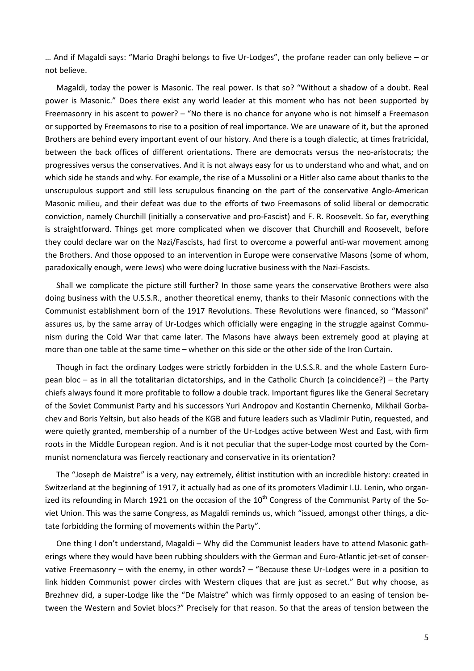… And if Magaldi says: "Mario Draghi belongs to five Ur-Lodges", the profane reader can only believe – or not believe.

Magaldi, today the power is Masonic. The real power. Is that so? "Without a shadow of a doubt. Real power is Masonic." Does there exist any world leader at this moment who has not been supported by Freemasonry in his ascent to power? – "No there is no chance for anyone who is not himself a Freemason or supported by Freemasons to rise to a position of real importance. We are unaware of it, but the aproned Brothers are behind every important event of our history. And there is a tough dialectic, at times fratricidal, between the back offices of different orientations. There are democrats versus the neo-aristocrats; the progressives versus the conservatives. And it is not always easy for us to understand who and what, and on which side he stands and why. For example, the rise of a Mussolini or a Hitler also came about thanks to the unscrupulous support and still less scrupulous financing on the part of the conservative Anglo-American Masonic milieu, and their defeat was due to the efforts of two Freemasons of solid liberal or democratic conviction, namely Churchill (initially a conservative and pro-Fascist) and F. R. Roosevelt. So far, everything is straightforward. Things get more complicated when we discover that Churchill and Roosevelt, before they could declare war on the Nazi/Fascists, had first to overcome a powerful anti-war movement among the Brothers. And those opposed to an intervention in Europe were conservative Masons (some of whom, paradoxically enough, were Jews) who were doing lucrative business with the Nazi-Fascists.

Shall we complicate the picture still further? In those same years the conservative Brothers were also doing business with the U.S.S.R., another theoretical enemy, thanks to their Masonic connections with the Communist establishment born of the 1917 Revolutions. These Revolutions were financed, so "Massoni" assures us, by the same array of Ur-Lodges which officially were engaging in the struggle against Communism during the Cold War that came later. The Masons have always been extremely good at playing at more than one table at the same time – whether on this side or the other side of the Iron Curtain.

Though in fact the ordinary Lodges were strictly forbidden in the U.S.S.R. and the whole Eastern European bloc – as in all the totalitarian dictatorships, and in the Catholic Church (a coincidence?) – the Party chiefs always found it more profitable to follow a double track. Important figures like the General Secretary of the Soviet Communist Party and his successors Yuri Andropov and Kostantin Chernenko, Mikhail Gorbachev and Boris Yeltsin, but also heads of the KGB and future leaders such as Vladimir Putin, requested, and were quietly granted, membership of a number of the Ur-Lodges active between West and East, with firm roots in the Middle European region. And is it not peculiar that the super-Lodge most courted by the Communist nomenclatura was fiercely reactionary and conservative in its orientation?

The "Joseph de Maistre" is a very, nay extremely, élitist institution with an incredible history: created in Switzerland at the beginning of 1917, it actually had as one of its promoters Vladimir I.U. Lenin, who organized its refounding in March 1921 on the occasion of the  $10<sup>th</sup>$  Congress of the Communist Party of the Soviet Union. This was the same Congress, as Magaldi reminds us, which "issued, amongst other things, a dictate forbidding the forming of movements within the Party".

One thing I don't understand, Magaldi – Why did the Communist leaders have to attend Masonic gatherings where they would have been rubbing shoulders with the German and Euro-Atlantic jet-set of conservative Freemasonry – with the enemy, in other words? – "Because these Ur-Lodges were in a position to link hidden Communist power circles with Western cliques that are just as secret." But why choose, as Brezhnev did, a super-Lodge like the "De Maistre" which was firmly opposed to an easing of tension between the Western and Soviet blocs?" Precisely for that reason. So that the areas of tension between the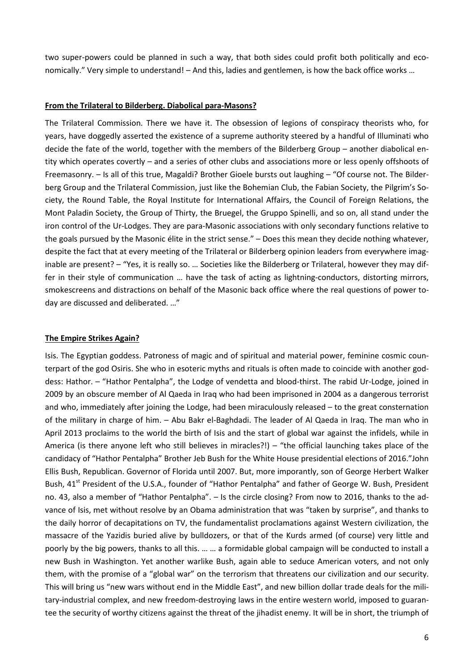two super-powers could be planned in such a way, that both sides could profit both politically and economically." Very simple to understand! – And this, ladies and gentlemen, is how the back office works …

### **From the Trilateral to Bilderberg. Diabolical para-Masons?**

The Trilateral Commission. There we have it. The obsession of legions of conspiracy theorists who, for years, have doggedly asserted the existence of a supreme authority steered by a handful of Illuminati who decide the fate of the world, together with the members of the Bilderberg Group – another diabolical entity which operates covertly – and a series of other clubs and associations more or less openly offshoots of Freemasonry. – Is all of this true, Magaldi? Brother Gioele bursts out laughing – "Of course not. The Bilderberg Group and the Trilateral Commission, just like the Bohemian Club, the Fabian Society, the Pilgrim's Society, the Round Table, the Royal Institute for International Affairs, the Council of Foreign Relations, the Mont Paladin Society, the Group of Thirty, the Bruegel, the Gruppo Spinelli, and so on, all stand under the iron control of the Ur-Lodges. They are para-Masonic associations with only secondary functions relative to the goals pursued by the Masonic élite in the strict sense." – Does this mean they decide nothing whatever, despite the fact that at every meeting of the Trilateral or Bilderberg opinion leaders from everywhere imaginable are present? – "Yes, it is really so. ... Societies like the Bilderberg or Trilateral, however they may differ in their style of communication … have the task of acting as lightning-conductors, distorting mirrors, smokescreens and distractions on behalf of the Masonic back office where the real questions of power today are discussed and deliberated. …"

# **The Empire Strikes Again?**

Isis. The Egyptian goddess. Patroness of magic and of spiritual and material power, feminine cosmic counterpart of the god Osiris. She who in esoteric myths and rituals is often made to coincide with another goddess: Hathor. – "Hathor Pentalpha", the Lodge of vendetta and blood-thirst. The rabid Ur-Lodge, joined in 2009 by an obscure member of Al Qaeda in Iraq who had been imprisoned in 2004 as a dangerous terrorist and who, immediately after joining the Lodge, had been miraculously released – to the great consternation of the military in charge of him. – Abu Bakr el-Baghdadi. The leader of Al Qaeda in Iraq. The man who in April 2013 proclaims to the world the birth of Isis and the start of global war against the infidels, while in America (is there anyone left who still believes in miracles?!) – "the official launching takes place of the candidacy of "Hathor Pentalpha" Brother Jeb Bush for the White House presidential elections of 2016."John Ellis Bush, Republican. Governor of Florida until 2007. But, more imporantly, son of George Herbert Walker Bush, 41<sup>st</sup> President of the U.S.A., founder of "Hathor Pentalpha" and father of George W. Bush, President no. 43, also a member of "Hathor Pentalpha". – Is the circle closing? From now to 2016, thanks to the advance of Isis, met without resolve by an Obama administration that was "taken by surprise", and thanks to the daily horror of decapitations on TV, the fundamentalist proclamations against Western civilization, the massacre of the Yazidis buried alive by bulldozers, or that of the Kurds armed (of course) very little and poorly by the big powers, thanks to all this. … … a formidable global campaign will be conducted to install a new Bush in Washington. Yet another warlike Bush, again able to seduce American voters, and not only them, with the promise of a "global war" on the terrorism that threatens our civilization and our security. This will bring us "new wars without end in the Middle East", and new billion dollar trade deals for the military-industrial complex, and new freedom-destroying laws in the entire western world, imposed to guarantee the security of worthy citizens against the threat of the jihadist enemy. It will be in short, the triumph of